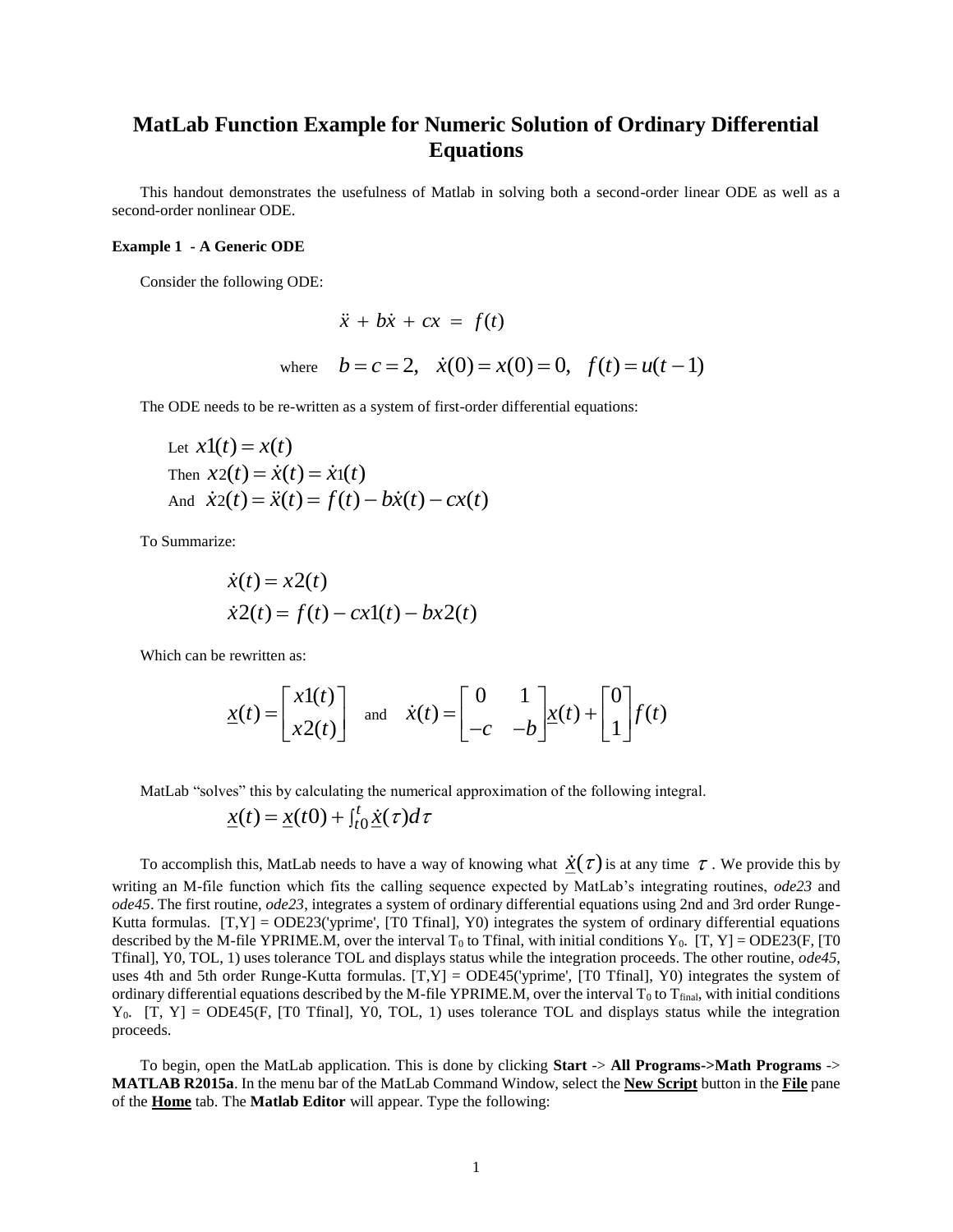## **MatLab Function Example for Numeric Solution of Ordinary Differential Equations**

This handout demonstrates the usefulness of Matlab in solving both a second-order linear ODE as well as a second-order nonlinear ODE.

## **Example 1 - A Generic ODE**

Consider the following ODE:

$$
\ddot{x} + b\dot{x} + cx = f(t)
$$
  
where  $b = c = 2$ ,  $\dot{x}(0) = x(0) = 0$ ,  $f(t) = u(t-1)$ 

The ODE needs to be re-written as a system of first-order differential equations:

Let 
$$
x1(t) = x(t)
$$
  
\nThen  $x2(t) = \dot{x}(t) = \dot{x}(t)$   
\nAnd  $\dot{x}2(t) = \ddot{x}(t) = f(t) - b\dot{x}(t) - cx(t)$ 

To Summarize:

$$
\begin{aligned} \dot{x}(t) &= x2(t) \\ \dot{x}2(t) &= f(t) - cx1(t) - bx2(t) \end{aligned}
$$

Which can be rewritten as:

$$
\underline{x}(t) = \begin{bmatrix} x\mathbf{1}(t) \\ x\mathbf{2}(t) \end{bmatrix} \text{ and } \dot{x}(t) = \begin{bmatrix} 0 & 1 \\ -c & -b \end{bmatrix} \underline{x}(t) + \begin{bmatrix} 0 \\ 1 \end{bmatrix} f(t)
$$

MatLab "solves" this by calculating the numerical approximation of the following integral.

$$
\underline{x}(t) = \underline{x}(t0) + \int_{t0}^{t} \underline{\dot{x}}(\tau) d\tau
$$

To accomplish this, MatLab needs to have a way of knowing what  $\dot{\chi}(\tau)$  is at any time  $\tau$ . We provide this by writing an M-file function which fits the calling sequence expected by MatLab's integrating routines, *ode23* and *ode45*. The first routine, *ode23*, integrates a system of ordinary differential equations using 2nd and 3rd order Runge-Kutta formulas.  $[T, Y] = ODE23$  ('yprime', [T0 Tfinal], Y0) integrates the system of ordinary differential equations described by the M-file YPRIME.M, over the interval  $T_0$  to Tfinal, with initial conditions  $Y_0$ . [T, Y] = ODE23(F, [T0 Tfinal], Y0, TOL, 1) uses tolerance TOL and displays status while the integration proceeds. The other routine, *ode45*, uses 4th and 5th order Runge-Kutta formulas.  $[T, Y] = ODE45$  ('yprime',  $[T0 Tfinal]$ , Y0) integrates the system of ordinary differential equations described by the M-file YPRIME.M, over the interval  $T_0$  to  $T_{final}$ , with initial conditions  $Y_0$ . [T, Y] = ODE45(F, [T0 Tfinal], Y0, TOL, 1) uses tolerance TOL and displays status while the integration proceeds.

To begin, open the MatLab application. This is done by clicking **Start** -> **All Programs->Math Programs** -> **MATLAB R2015a**. In the menu bar of the MatLab Command Window, select the **New Script** button in the **File** pane of the **Home** tab. The **Matlab Editor** will appear. Type the following: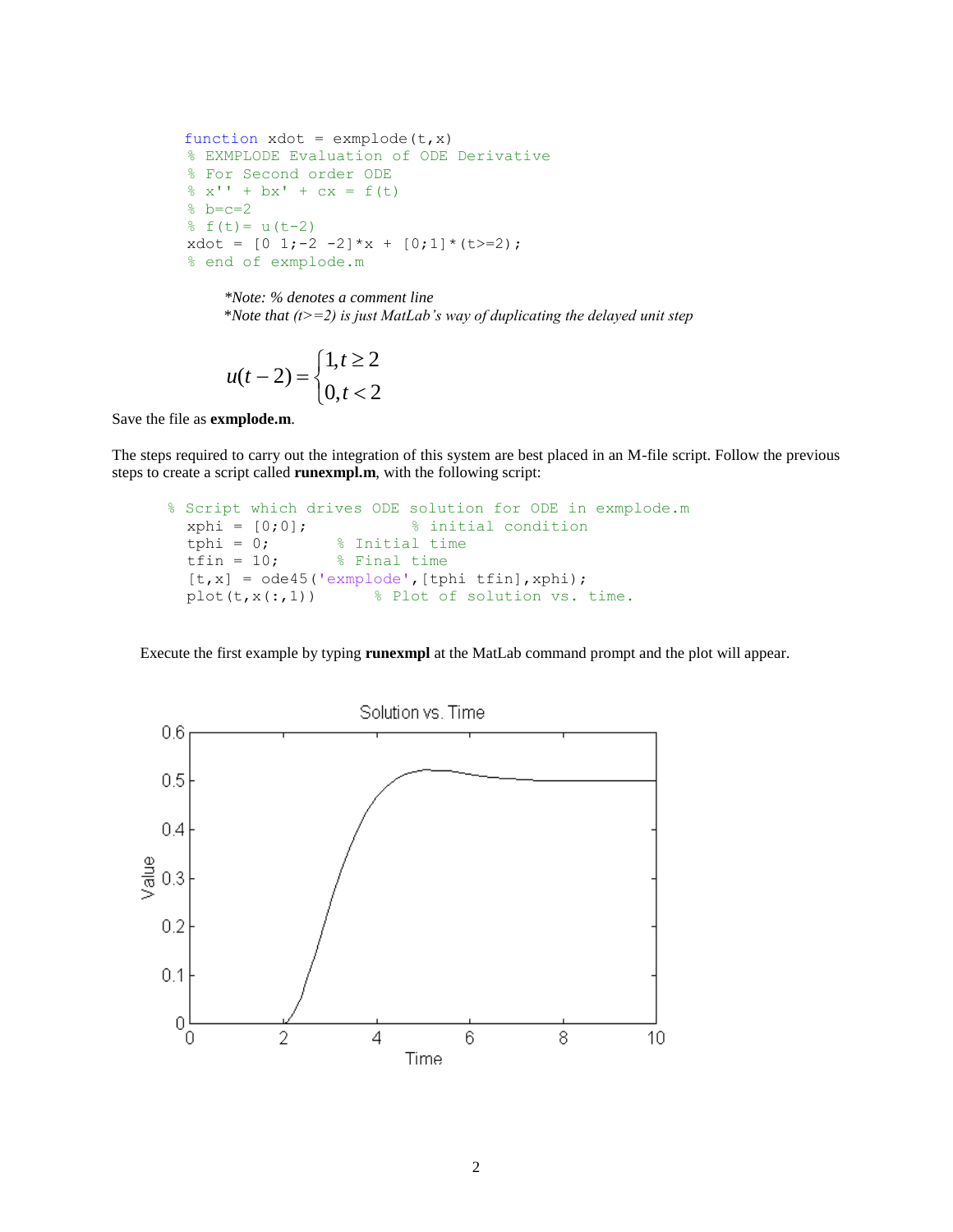```
function xdot = example(t, x) % EXMPLODE Evaluation of ODE Derivative
 % For Second order ODE
\frac{1}{6} x'' + bx' + cx = f(t)
b = c = 2f(t) = u(t-2)xdot = [0 1;-2 -2]*x + [0;1]*(t>=2); % end of exmplode.m
```
*\*Note: % denotes a comment line* \**Note that (t>=2) is just MatLab's way of duplicating the delayed unit step*

$$
u(t-2) = \begin{cases} 1, t \ge 2\\ 0, t < 2 \end{cases}
$$

Save the file as **exmplode.m**.

The steps required to carry out the integration of this system are best placed in an M-file script. Follow the previous steps to create a script called **runexmpl.m**, with the following script:

```
 % Script which drives ODE solution for ODE in exmplode.m
   xphi = [0;0]; % initial condition
   tphi = 0; \frac{1}{2} \frac{1}{2} \frac{1}{2} \frac{1}{2} \frac{1}{2} \frac{1}{2} \frac{1}{2} \frac{1}{2} \frac{1}{2} \frac{1}{2} \frac{1}{2} \frac{1}{2} \frac{1}{2} \frac{1}{2} \frac{1}{2} \frac{1}{2} \frac{1}{2} \frac{1}{2} \frac{1}{2} \frac{1}{2} \frac{1}{2}tfin = 10; % Final time
   [t, x] = ode45('example', [tphi t fin], xphi);plot(t, x(:,1)) % Plot of solution vs. time.
```
Execute the first example by typing **runexmpl** at the MatLab command prompt and the plot will appear.

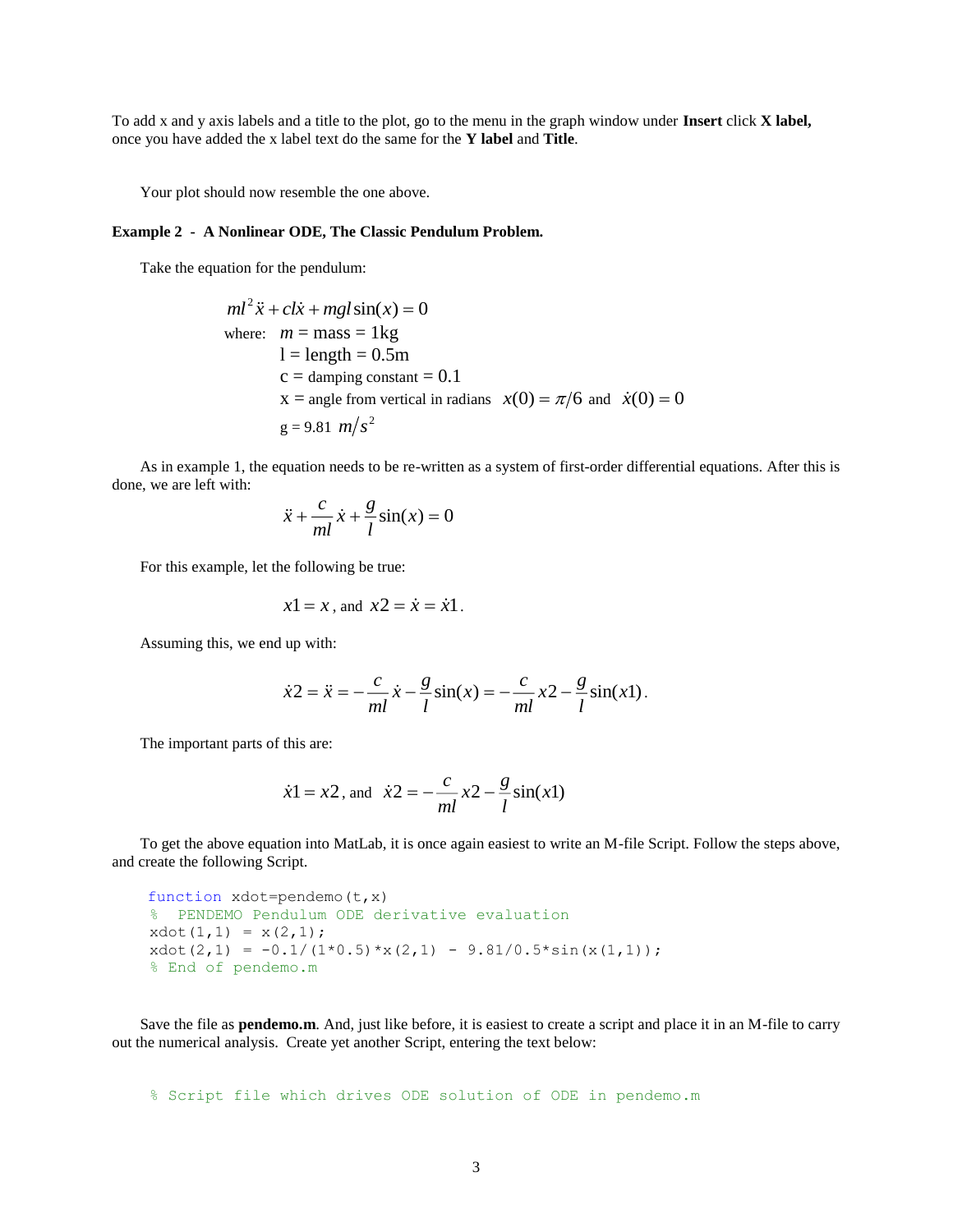To add x and y axis labels and a title to the plot, go to the menu in the graph window under **Insert** click **X label,** once you have added the x label text do the same for the **Y label** and **Title**.

Your plot should now resemble the one above.

## **Example 2 - A Nonlinear ODE, The Classic Pendulum Problem.**

Take the equation for the pendulum:

$$
ml^{2} \ddot{x} + cl\dot{x} + mgl\sin(x) = 0
$$
  
where:  $m = \text{mass} = 1\text{kg}$   
 $l = \text{length} = 0.5\text{m}$   
c = damping constant = 0.1  
 $x = \text{angle from vertical in radians}$   $x(0) = \pi/6$  and  $\dot{x}(0) = 0$   
 $g = 9.81 \text{ m/s}^{2}$ 

As in example 1, the equation needs to be re-written as a system of first-order differential equations. After this is done, we are left with:

$$
\ddot{x} + \frac{c}{ml}\dot{x} + \frac{g}{l}\sin(x) = 0
$$

For this example, let the following be true:

$$
x1 = x
$$
, and  $x2 = \dot{x} = \dot{x}1$ .

Assuming this, we end up with:

$$
\dot{x}2 = \ddot{x} = -\frac{c}{ml}\dot{x} - \frac{g}{l}\sin(x) = -\frac{c}{ml}x^2 - \frac{g}{l}\sin(x1).
$$

The important parts of this are:

$$
\dot{x}
$$
1 = x2, and  $\dot{x}$ 2 =  $-\frac{c}{ml}x$ 2 -  $\frac{g}{l}\sin(x)$ 1)

To get the above equation into MatLab, it is once again easiest to write an M-file Script. Follow the steps above, and create the following Script.

```
 function xdot=pendemo(t,x)
 % PENDEMO Pendulum ODE derivative evaluation
xdot(1,1) = x(2,1);xdot(2,1) = -0.1/(1*0.5)*x(2,1) - 9.81/0.5*sin(x(1,1)); % End of pendemo.m
```
Save the file as **pendemo.m**. And, just like before, it is easiest to create a script and place it in an M-file to carry out the numerical analysis. Create yet another Script, entering the text below:

% Script file which drives ODE solution of ODE in pendemo.m